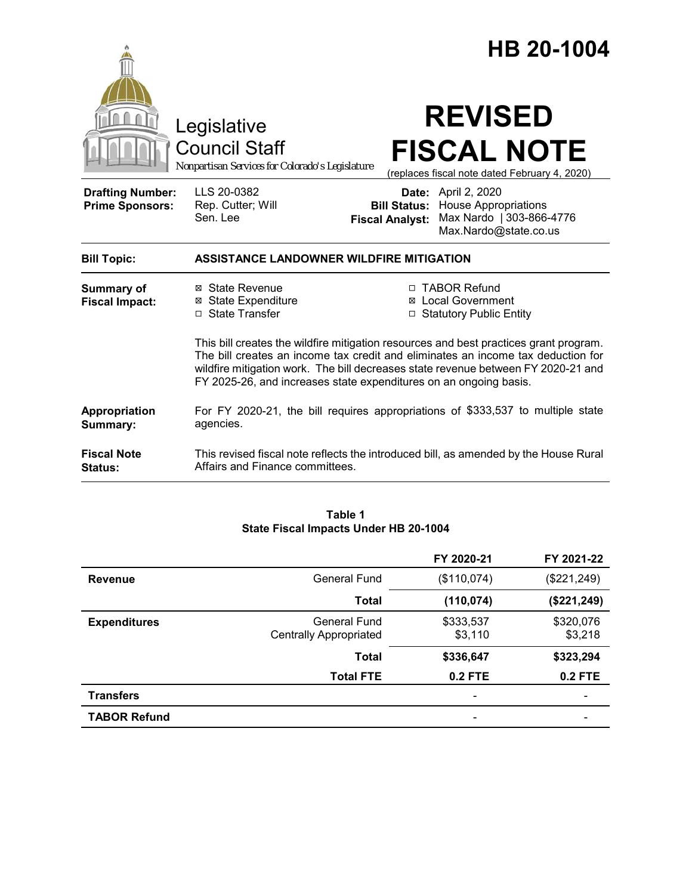|                                                   |                                                                                                                                                                                                                                                                                                                                     |                                               | HB 20-1004                                                                                                     |
|---------------------------------------------------|-------------------------------------------------------------------------------------------------------------------------------------------------------------------------------------------------------------------------------------------------------------------------------------------------------------------------------------|-----------------------------------------------|----------------------------------------------------------------------------------------------------------------|
|                                                   | Legislative<br><b>Council Staff</b><br>Nonpartisan Services for Colorado's Legislature                                                                                                                                                                                                                                              |                                               | <b>REVISED</b><br><b>FISCAL NOTE</b><br>(replaces fiscal note dated February 4, 2020)                          |
| <b>Drafting Number:</b><br><b>Prime Sponsors:</b> | LLS 20-0382<br>Rep. Cutter; Will<br>Sen. Lee                                                                                                                                                                                                                                                                                        | <b>Bill Status:</b><br><b>Fiscal Analyst:</b> | <b>Date:</b> April 2, 2020<br><b>House Appropriations</b><br>Max Nardo   303-866-4776<br>Max.Nardo@state.co.us |
| <b>Bill Topic:</b>                                | <b>ASSISTANCE LANDOWNER WILDFIRE MITIGATION</b>                                                                                                                                                                                                                                                                                     |                                               |                                                                                                                |
| <b>Summary of</b><br><b>Fiscal Impact:</b>        | ⊠ State Revenue<br><b>⊠</b> State Expenditure<br>□ State Transfer                                                                                                                                                                                                                                                                   |                                               | □ TABOR Refund<br><b>⊠</b> Local Government<br>□ Statutory Public Entity                                       |
|                                                   | This bill creates the wildfire mitigation resources and best practices grant program.<br>The bill creates an income tax credit and eliminates an income tax deduction for<br>wildfire mitigation work. The bill decreases state revenue between FY 2020-21 and<br>FY 2025-26, and increases state expenditures on an ongoing basis. |                                               |                                                                                                                |
| Appropriation<br>Summary:                         | For FY 2020-21, the bill requires appropriations of \$333,537 to multiple state<br>agencies.                                                                                                                                                                                                                                        |                                               |                                                                                                                |
| <b>Fiscal Note</b><br>Status:                     | This revised fiscal note reflects the introduced bill, as amended by the House Rural<br>Affairs and Finance committees.                                                                                                                                                                                                             |                                               |                                                                                                                |

## **Table 1 State Fiscal Impacts Under HB 20-1004**

|                     |                                               | FY 2020-21               | FY 2021-22           |
|---------------------|-----------------------------------------------|--------------------------|----------------------|
| <b>Revenue</b>      | General Fund                                  | (\$110,074)              | (\$221, 249)         |
|                     | <b>Total</b>                                  | (110, 074)               | (\$221, 249)         |
| <b>Expenditures</b> | General Fund<br><b>Centrally Appropriated</b> | \$333,537<br>\$3,110     | \$320,076<br>\$3,218 |
|                     | <b>Total</b>                                  | \$336,647                | \$323,294            |
|                     | <b>Total FTE</b>                              | $0.2$ FTE                | <b>0.2 FTE</b>       |
| <b>Transfers</b>    |                                               | $\overline{\phantom{a}}$ | -                    |
| <b>TABOR Refund</b> |                                               |                          |                      |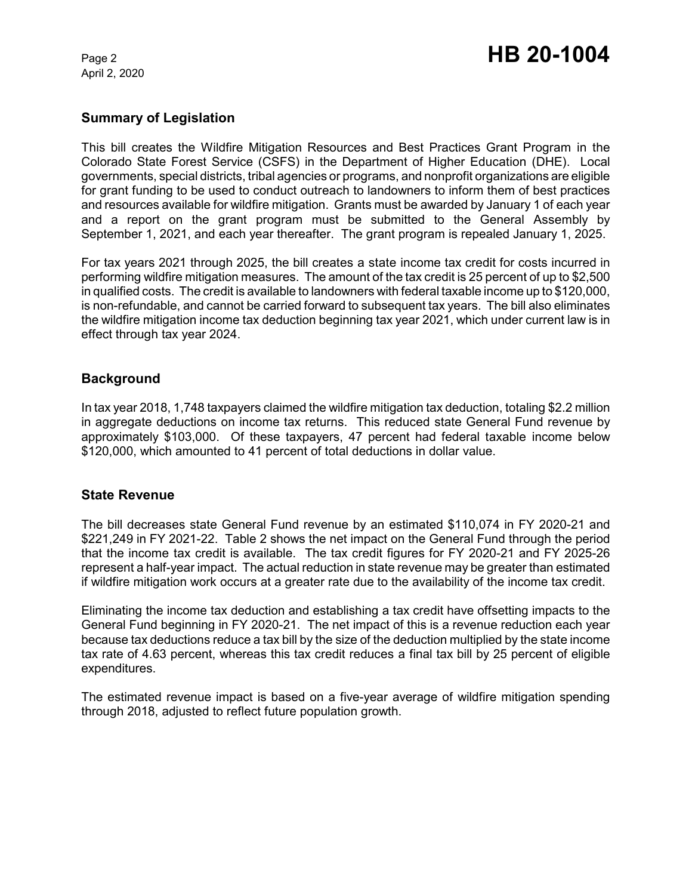April 2, 2020

# **Summary of Legislation**

This bill creates the Wildfire Mitigation Resources and Best Practices Grant Program in the Colorado State Forest Service (CSFS) in the Department of Higher Education (DHE). Local governments, special districts, tribal agencies or programs, and nonprofit organizations are eligible for grant funding to be used to conduct outreach to landowners to inform them of best practices and resources available for wildfire mitigation. Grants must be awarded by January 1 of each year and a report on the grant program must be submitted to the General Assembly by September 1, 2021, and each year thereafter. The grant program is repealed January 1, 2025.

For tax years 2021 through 2025, the bill creates a state income tax credit for costs incurred in performing wildfire mitigation measures. The amount of the tax credit is 25 percent of up to \$2,500 in qualified costs. The credit is available to landowners with federal taxable income up to \$120,000, is non-refundable, and cannot be carried forward to subsequent tax years. The bill also eliminates the wildfire mitigation income tax deduction beginning tax year 2021, which under current law is in effect through tax year 2024.

# **Background**

In tax year 2018, 1,748 taxpayers claimed the wildfire mitigation tax deduction, totaling \$2.2 million in aggregate deductions on income tax returns. This reduced state General Fund revenue by approximately \$103,000. Of these taxpayers, 47 percent had federal taxable income below \$120,000, which amounted to 41 percent of total deductions in dollar value.

## **State Revenue**

The bill decreases state General Fund revenue by an estimated \$110,074 in FY 2020-21 and \$221,249 in FY 2021-22. Table 2 shows the net impact on the General Fund through the period that the income tax credit is available. The tax credit figures for FY 2020-21 and FY 2025-26 represent a half-year impact. The actual reduction in state revenue may be greater than estimated if wildfire mitigation work occurs at a greater rate due to the availability of the income tax credit.

Eliminating the income tax deduction and establishing a tax credit have offsetting impacts to the General Fund beginning in FY 2020-21. The net impact of this is a revenue reduction each year because tax deductions reduce a tax bill by the size of the deduction multiplied by the state income tax rate of 4.63 percent, whereas this tax credit reduces a final tax bill by 25 percent of eligible expenditures.

The estimated revenue impact is based on a five-year average of wildfire mitigation spending through 2018, adjusted to reflect future population growth.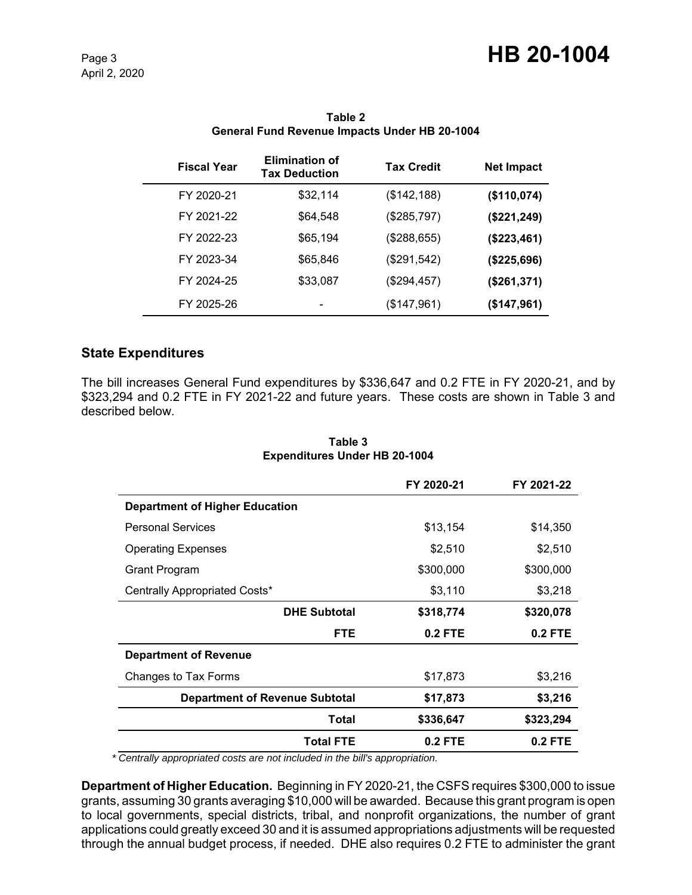| <b>Fiscal Year</b> | <b>Elimination of</b><br><b>Tax Deduction</b> | <b>Tax Credit</b> | <b>Net Impact</b> |
|--------------------|-----------------------------------------------|-------------------|-------------------|
| FY 2020-21         | \$32,114                                      | (\$142, 188)      | (\$110,074)       |
| FY 2021-22         | \$64,548                                      | (\$285,797)       | (\$221, 249)      |
| FY 2022-23         | \$65,194                                      | (\$288,655)       | (\$223,461)       |
| FY 2023-34         | \$65,846                                      | (\$291,542)       | (\$225,696)       |
| FY 2024-25         | \$33,087                                      | (\$294,457)       | (\$261,371)       |
| FY 2025-26         |                                               | (\$147,961)       | (\$147,961)       |

#### **Table 2 General Fund Revenue Impacts Under HB 20-1004**

# **State Expenditures**

The bill increases General Fund expenditures by \$336,647 and 0.2 FTE in FY 2020-21, and by \$323,294 and 0.2 FTE in FY 2021-22 and future years. These costs are shown in Table 3 and described below.

|                                       | FY 2020-21 | FY 2021-22 |
|---------------------------------------|------------|------------|
| <b>Department of Higher Education</b> |            |            |
| <b>Personal Services</b>              | \$13,154   | \$14,350   |
| <b>Operating Expenses</b>             | \$2,510    | \$2,510    |
| Grant Program                         | \$300,000  | \$300,000  |
| Centrally Appropriated Costs*         | \$3,110    | \$3,218    |
| <b>DHE Subtotal</b>                   | \$318,774  | \$320,078  |
| <b>FTE</b>                            | $0.2$ FTE  | 0.2 FTE    |
| <b>Department of Revenue</b>          |            |            |
| Changes to Tax Forms                  | \$17,873   | \$3,216    |
| <b>Department of Revenue Subtotal</b> | \$17,873   | \$3,216    |
| Total                                 | \$336,647  | \$323,294  |
| <b>Total FTE</b>                      | $0.2$ FTE  | $0.2$ FTE  |

#### **Table 3 Expenditures Under HB 20-1004**

 *\* Centrally appropriated costs are not included in the bill's appropriation.*

**Department of Higher Education.** Beginning in FY 2020-21, the CSFS requires \$300,000 to issue grants, assuming 30 grants averaging \$10,000 will be awarded. Because this grant program is open to local governments, special districts, tribal, and nonprofit organizations, the number of grant applications could greatly exceed 30 and it is assumed appropriations adjustments will be requested through the annual budget process, if needed. DHE also requires 0.2 FTE to administer the grant